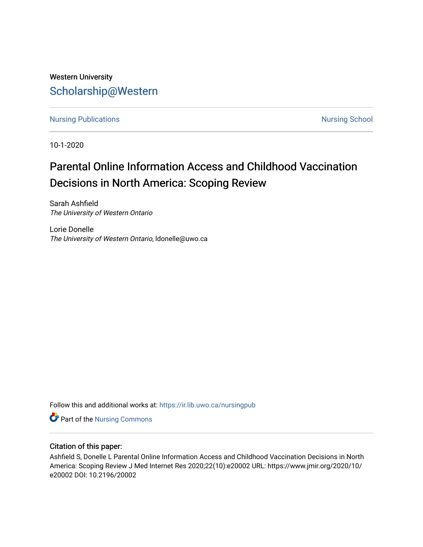## Western University [Scholarship@Western](https://ir.lib.uwo.ca/)

[Nursing Publications](https://ir.lib.uwo.ca/nursingpub) **Nursing School** 

10-1-2020

# Parental Online Information Access and Childhood Vaccination Decisions in North America: Scoping Review

Sarah Ashfield The University of Western Ontario

Lorie Donelle The University of Western Ontario, ldonelle@uwo.ca

Follow this and additional works at: [https://ir.lib.uwo.ca/nursingpub](https://ir.lib.uwo.ca/nursingpub?utm_source=ir.lib.uwo.ca%2Fnursingpub%2F365&utm_medium=PDF&utm_campaign=PDFCoverPages)

**Part of the Nursing Commons** 

## Citation of this paper:

Ashfield S, Donelle L Parental Online Information Access and Childhood Vaccination Decisions in North America: Scoping Review J Med Internet Res 2020;22(10):e20002 URL: https://www.jmir.org/2020/10/ e20002 DOI: 10.2196/20002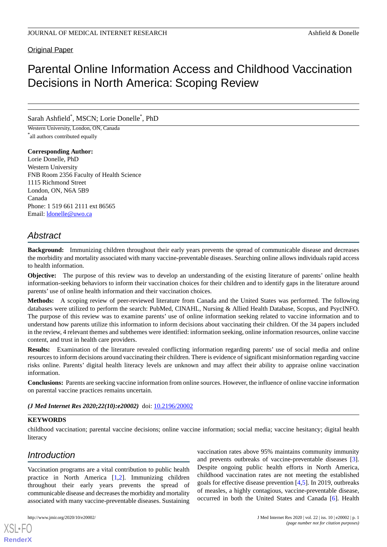## Original Paper

## Parental Online Information Access and Childhood Vaccination Decisions in North America: Scoping Review

## Sarah Ashfield\* , MSCN; Lorie Donelle\* , PhD

Western University, London, ON, Canada \* all authors contributed equally

#### **Corresponding Author:**

Lorie Donelle, PhD Western University FNB Room 2356 Faculty of Health Science 1115 Richmond Street London, ON, N6A 5B9 Canada Phone: 1 519 661 2111 ext 86565 Email: [ldonelle@uwo.ca](mailto:ldonelle@uwo.ca)

## *Abstract*

**Background:** Immunizing children throughout their early years prevents the spread of communicable disease and decreases the morbidity and mortality associated with many vaccine-preventable diseases. Searching online allows individuals rapid access to health information.

**Objective:** The purpose of this review was to develop an understanding of the existing literature of parents' online health information-seeking behaviors to inform their vaccination choices for their children and to identify gaps in the literature around parents' use of online health information and their vaccination choices.

**Methods:** A scoping review of peer-reviewed literature from Canada and the United States was performed. The following databases were utilized to perform the search: PubMed, CINAHL, Nursing & Allied Health Database, Scopus, and PsycINFO. The purpose of this review was to examine parents' use of online information seeking related to vaccine information and to understand how parents utilize this information to inform decisions about vaccinating their children. Of the 34 papers included in the review, 4 relevant themes and subthemes were identified: information seeking, online information resources, online vaccine content, and trust in health care providers.

**Results:** Examination of the literature revealed conflicting information regarding parents' use of social media and online resources to inform decisions around vaccinating their children. There is evidence of significant misinformation regarding vaccine risks online. Parents' digital health literacy levels are unknown and may affect their ability to appraise online vaccination information.

**Conclusions:** Parents are seeking vaccine information from online sources. However, the influence of online vaccine information on parental vaccine practices remains uncertain.

*(J Med Internet Res 2020;22(10):e20002)* doi: [10.2196/20002](http://dx.doi.org/10.2196/20002)

#### **KEYWORDS**

childhood vaccination; parental vaccine decisions; online vaccine information; social media; vaccine hesitancy; digital health literacy

## *Introduction*

Vaccination programs are a vital contribution to public health practice in North America [\[1](#page-7-0),[2\]](#page-8-0). Immunizing children throughout their early years prevents the spread of communicable disease and decreases the morbidity and mortality associated with many vaccine-preventable diseases. Sustaining

[XSL](http://www.w3.org/Style/XSL)•FO **[RenderX](http://www.renderx.com/)**

vaccination rates above 95% maintains community immunity and prevents outbreaks of vaccine-preventable diseases [[3\]](#page-8-1). Despite ongoing public health efforts in North America, childhood vaccination rates are not meeting the established goals for effective disease prevention [\[4](#page-8-2),[5\]](#page-8-3). In 2019, outbreaks of measles, a highly contagious, vaccine-preventable disease, occurred in both the United States and Canada [[6\]](#page-8-4). Health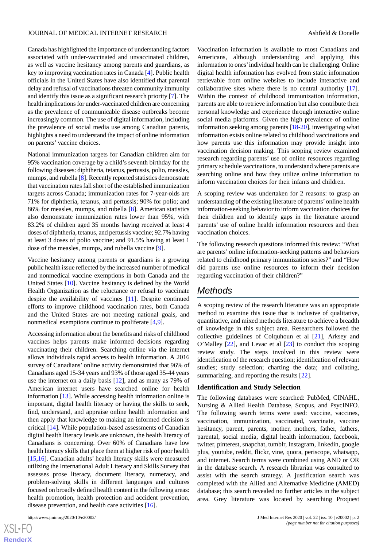Canada has highlighted the importance of understanding factors associated with under-vaccinated and unvaccinated children, as well as vaccine hesitancy among parents and guardians, as key to improving vaccination rates in Canada [[4\]](#page-8-2). Public health officials in the United States have also identified that parental delay and refusal of vaccinations threaten community immunity and identify this issue as a significant research priority [\[7](#page-8-5)]. The health implications for under-vaccinated children are concerning as the prevalence of communicable disease outbreaks become increasingly common. The use of digital information, including the prevalence of social media use among Canadian parents, highlights a need to understand the impact of online information on parents' vaccine choices.

National immunization targets for Canadian children aim for 95% vaccination coverage by a child's seventh birthday for the following diseases: diphtheria, tetanus, pertussis, polio, measles, mumps, and rubella [\[8](#page-8-6)]. Recently reported statistics demonstrate that vaccination rates fall short of the established immunization targets across Canada; immunization rates for 7-year-olds are 71% for diphtheria, tetanus, and pertussis; 90% for polio; and 86% for measles, mumps, and rubella [\[8](#page-8-6)]. American statistics also demonstrate immunization rates lower than 95%, with 83.2% of children aged 35 months having received at least 4 doses of diphtheria, tetanus, and pertussis vaccine; 92.7% having at least 3 doses of polio vaccine; and 91.5% having at least 1 dose of the measles, mumps, and rubella vaccine [\[9](#page-8-7)].

Vaccine hesitancy among parents or guardians is a growing public health issue reflected by the increased number of medical and nonmedical vaccine exemptions in both Canada and the United States [[10\]](#page-8-8). Vaccine hesitancy is defined by the World Health Organization as the reluctance or refusal to vaccinate despite the availability of vaccines [[11\]](#page-8-9). Despite continued efforts to improve childhood vaccination rates, both Canada and the United States are not meeting national goals, and nonmedical exemptions continue to proliferate [[4,](#page-8-2)[9](#page-8-7)].

Accessing information about the benefits and risks of childhood vaccines helps parents make informed decisions regarding vaccinating their children. Searching online via the internet allows individuals rapid access to health information. A 2016 survey of Canadians' online activity demonstrated that 96% of Canadians aged 15-34 years and 93% of those aged 35-44 years use the internet on a daily basis [[12\]](#page-8-10), and as many as 79% of American internet users have searched online for health information [\[13](#page-8-11)]. While accessing health information online is important, digital health literacy or having the skills to seek, find, understand, and appraise online health information and then apply that knowledge to making an informed decision is critical [\[14](#page-8-12)]. While population-based assessments of Canadian digital health literacy levels are unknown, the health literacy of Canadians is concerning. Over 60% of Canadians have low health literacy skills that place them at higher risk of poor health [[15](#page-8-13)[,16](#page-8-14)]. Canadian adults' health literacy skills were measured utilizing the International Adult Literacy and Skills Survey that assesses prose literacy, document literacy, numeracy, and problem-solving skills in different languages and cultures focused on broadly defined health content in the following areas: health promotion, health protection and accident prevention, disease prevention, and health care activities [[16\]](#page-8-14).

[XSL](http://www.w3.org/Style/XSL)•FO **[RenderX](http://www.renderx.com/)** Vaccination information is available to most Canadians and Americans, although understanding and applying this information to ones'individual health can be challenging. Online digital health information has evolved from static information retrievable from online websites to include interactive and collaborative sites where there is no central authority [[17\]](#page-8-15). Within the context of childhood immunization information, parents are able to retrieve information but also contribute their personal knowledge and experience through interactive online social media platforms. Given the high prevalence of online information seeking among parents [\[18](#page-8-16)[-20](#page-8-17)], investigating what information exists online related to childhood vaccinations and how parents use this information may provide insight into vaccination decision making. This scoping review examined research regarding parents' use of online resources regarding primary schedule vaccinations, to understand where parents are searching online and how they utilize online information to inform vaccination choices for their infants and children.

A scoping review was undertaken for 2 reasons: to grasp an understanding of the existing literature of parents'online health information-seeking behavior to inform vaccination choices for their children and to identify gaps in the literature around parents' use of online health information resources and their vaccination choices.

The following research questions informed this review: "What are parents' online information-seeking patterns and behaviors related to childhood primary immunization series?" and "How did parents use online resources to inform their decision regarding vaccination of their children?"

## *Methods*

A scoping review of the research literature was an appropriate method to examine this issue that is inclusive of qualitative, quantitative, and mixed methods literature to achieve a breadth of knowledge in this subject area. Researchers followed the collective guidelines of Colquhoun et al [[21\]](#page-8-18), Arksey and O'Malley [\[22](#page-8-19)], and Levac et al [[23\]](#page-8-20) to conduct this scoping review study. The steps involved in this review were identification of the research question; identification of relevant studies; study selection; charting the data; and collating, summarizing, and reporting the results [[22\]](#page-8-19).

#### **Identification and Study Selection**

The following databases were searched: PubMed, CINAHL, Nursing & Allied Health Database, Scopus, and PsycINFO. The following search terms were used: vaccine, vaccines, vaccination, immunization, vaccinated, vaccinate, vaccine hesitancy, parent, parents, mother, mothers, father, fathers, parental, social media, digital health information, facebook, twitter, pinterest, snapchat, tumblr, Instagram, linkedin, google plus, youtube, reddit, flickr, vine, quora, periscope, whatsapp, and internet. Search terms were combined using AND or OR in the database search. A research librarian was consulted to assist with the search strategy. A justification search was completed with the Allied and Alternative Medicine (AMED) database; this search revealed no further articles in the subject area. Grey literature was located by searching Proquest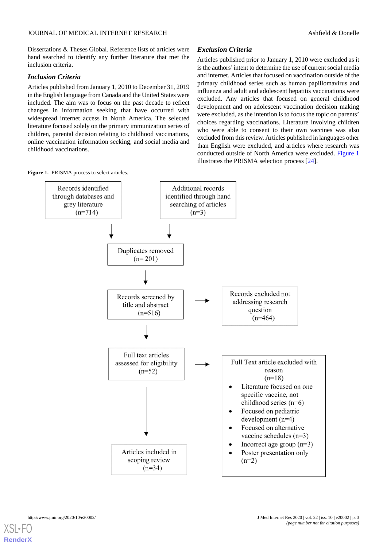Dissertations & Theses Global. Reference lists of articles were hand searched to identify any further literature that met the inclusion criteria.

## *Inclusion Criteria*

Articles published from January 1, 2010 to December 31, 2019 in the English language from Canada and the United States were included. The aim was to focus on the past decade to reflect changes in information seeking that have occurred with widespread internet access in North America. The selected literature focused solely on the primary immunization series of children, parental decision relating to childhood vaccinations, online vaccination information seeking, and social media and childhood vaccinations.

## *Exclusion Criteria*

Articles published prior to January 1, 2010 were excluded as it is the authors'intent to determine the use of current social media and internet. Articles that focused on vaccination outside of the primary childhood series such as human papillomavirus and influenza and adult and adolescent hepatitis vaccinations were excluded. Any articles that focused on general childhood development and on adolescent vaccination decision making were excluded, as the intention is to focus the topic on parents' choices regarding vaccinations. Literature involving children who were able to consent to their own vaccines was also excluded from this review. Articles published in languages other than English were excluded, and articles where research was conducted outside of North America were excluded. [Figure 1](#page-3-0) illustrates the PRISMA selection process [\[24](#page-9-0)].

<span id="page-3-0"></span>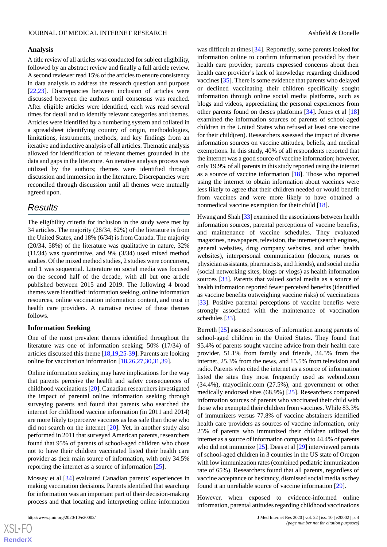#### **Analysis**

A title review of all articles was conducted for subject eligibility, followed by an abstract review and finally a full article review. A second reviewer read 15% of the articles to ensure consistency in data analysis to address the research question and purpose [[22](#page-8-19)[,23](#page-8-20)]. Discrepancies between inclusion of articles were discussed between the authors until consensus was reached. After eligible articles were identified, each was read several times for detail and to identify relevant categories and themes. Articles were identified by a numbering system and collated in a spreadsheet identifying country of origin, methodologies, limitations, instruments, methods, and key findings from an iterative and inductive analysis of all articles. Thematic analysis allowed for identification of relevant themes grounded in the data and gaps in the literature. An iterative analysis process was utilized by the authors; themes were identified through discussion and immersion in the literature. Discrepancies were reconciled through discussion until all themes were mutually agreed upon.

## *Results*

The eligibility criteria for inclusion in the study were met by 34 articles. The majority (28/34, 82%) of the literature is from the United States, and 18% (6/34) is from Canada. The majority (20/34, 58%) of the literature was qualitative in nature, 32% (11/34) was quantitative, and 9% (3/34) used mixed method studies. Of the mixed method studies, 2 studies were concurrent, and 1 was sequential. Literature on social media was focused on the second half of the decade, with all but one article published between 2015 and 2019. The following 4 broad themes were identified: information seeking, online information resources, online vaccination information content, and trust in health care providers. A narrative review of these themes follows.

#### **Information Seeking**

One of the most prevalent themes identified throughout the literature was one of information seeking; 50% (17/34) of articles discussed this theme [[18,](#page-8-16)[19](#page-8-21),[25-](#page-9-1)[39\]](#page-9-2). Parents are looking online for vaccination information [[18,](#page-8-16)[26](#page-9-3),[27,](#page-9-4)[30](#page-9-5),[31,](#page-9-6)[39](#page-9-2)].

Online information seeking may have implications for the way that parents perceive the health and safety consequences of childhood vaccinations [[20\]](#page-8-17). Canadian researchers investigated the impact of parental online information seeking through surveying parents and found that parents who searched the internet for childhood vaccine information (in 2011 and 2014) are more likely to perceive vaccines as less safe than those who did not search on the internet [[20\]](#page-8-17). Yet, in another study also performed in 2011 that surveyed American parents, researchers found that 95% of parents of school-aged children who chose not to have their children vaccinated listed their health care provider as their main source of information, with only 34.5% reporting the internet as a source of information [[25\]](#page-9-1).

Mossey et al [[34\]](#page-9-7) evaluated Canadian parents' experiences in making vaccination decisions. Parents identified that searching for information was an important part of their decision-making process and that locating and interpreting online information

was difficult at times [\[34](#page-9-7)]. Reportedly, some parents looked for information online to confirm information provided by their health care provider; parents expressed concerns about their health care provider's lack of knowledge regarding childhood vaccines [\[35](#page-9-8)]. There is some evidence that parents who delayed or declined vaccinating their children specifically sought information through online social media platforms, such as blogs and videos, appreciating the personal experiences from other parents found on theses platforms [\[34](#page-9-7)]. Jones et al [\[18](#page-8-16)] examined the information sources of parents of school-aged children in the United States who refused at least one vaccine for their child(ren). Researchers assessed the impact of diverse information sources on vaccine attitudes, beliefs, and medical exemptions. In this study, 40% of all respondents reported that the internet was a good source of vaccine information; however, only 19.9% of all parents in this study reported using the internet as a source of vaccine information [[18\]](#page-8-16). Those who reported using the internet to obtain information about vaccines were less likely to agree that their children needed or would benefit from vaccines and were more likely to have obtained a nonmedical vaccine exemption for their child [[18\]](#page-8-16).

Hwang and Shah [\[33](#page-9-9)] examined the associations between health information sources, parental perceptions of vaccine benefits, and maintenance of vaccine schedules. They evaluated magazines, newspapers, television, the internet (search engines, general websites, drug company websites, and other health websites), interpersonal communication (doctors, nurses or physician assistants, pharmacists, and friends), and social media (social networking sites, blogs or vlogs) as health information sources [\[33](#page-9-9)]. Parents that valued social media as a source of health information reported fewer perceived benefits (identified as vaccine benefits outweighing vaccine risks) of vaccinations [[33\]](#page-9-9). Positive parental perceptions of vaccine benefits were strongly associated with the maintenance of vaccination schedules [\[33](#page-9-9)].

Berreth [\[25](#page-9-1)] assessed sources of information among parents of school-aged children in the United States. They found that 95.4% of parents sought vaccine advice from their health care provider, 51.1% from family and friends, 34.5% from the internet, 25.3% from the news, and 15.5% from television and radio. Parents who cited the internet as a source of information listed the sites they most frequently used as webmd.com (34.4%), mayoclinic.com (27.5%), and government or other medically endorsed sites (68.9%) [[25\]](#page-9-1). Researchers compared information sources of parents who vaccinated their child with those who exempted their children from vaccines. While 83.3% of immunizers versus 77.8% of vaccine abstainers identified health care providers as sources of vaccine information, only 25% of parents who immunized their children utilized the internet as a source of information compared to 44.4% of parents who did not immunize  $[25]$  $[25]$ . Deas et al  $[29]$  $[29]$  interviewed parents of school-aged children in 3 counties in the US state of Oregon with low immunization rates (combined pediatric immunization rate of 65%). Researchers found that all parents, regardless of vaccine acceptance or hesitancy, dismissed social media as they found it an unreliable source of vaccine information [\[29](#page-9-10)].

However, when exposed to evidence-informed online information, parental attitudes regarding childhood vaccinations

```
XSL•FO
RenderX
```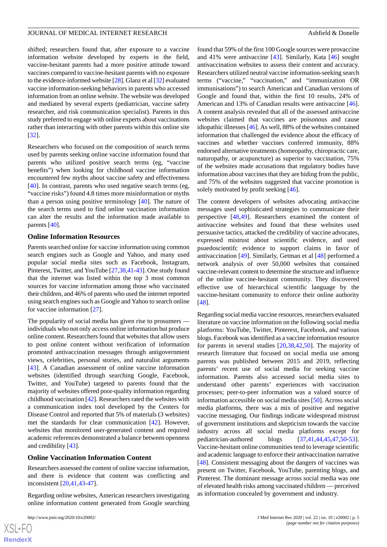shifted; researchers found that, after exposure to a vaccine information website developed by experts in the field, vaccine-hesitant parents had a more positive attitude toward vaccines compared to vaccine-hesitant parents with no exposure to the evidence-informed website [\[28\]](#page-9-11). Glanz et al [[32\]](#page-9-12) evaluated vaccine information-seeking behaviors in parents who accessed information from an online website. The website was developed and mediated by several experts (pediatrician, vaccine safety researcher, and risk communication specialist). Parents in this study preferred to engage with online experts about vaccinations rather than interacting with other parents within this online site [[32\]](#page-9-12).

Researchers who focused on the composition of search terms used by parents seeking online vaccine information found that parents who utilized positive search terms (eg, "vaccine benefits") when looking for childhood vaccine information encountered few myths about vaccine safety and effectiveness [[40\]](#page-9-13). In contrast, parents who used negative search terms (eg, "vaccine risks") found 4.8 times more misinformation or myths than a person using positive terminology [[40\]](#page-9-13). The nature of the search terms used to find online vaccination information can alter the results and the information made available to parents [\[40](#page-9-13)].

#### **Online Information Resources**

Parents searched online for vaccine information using common search engines such as Google and Yahoo, and many used popular social media sites such as Facebook, Instagram, Pinterest, Twitter, and YouTube [\[27](#page-9-4),[38,](#page-9-14)[41-](#page-9-15)[43](#page-9-16)]. One study found that the internet was listed within the top 3 most common sources for vaccine information among those who vaccinated their children, and 46% of parents who used the internet reported using search engines such as Google and Yahoo to search online for vaccine information [\[27](#page-9-4)].

The popularity of social media has given rise to prosumers individuals who not only access online information but produce online content. Researchers found that websites that allow users to post online content without verification of information promoted antivaccination messages through antigovernment views, celebrities, personal stories, and naturalist arguments [[43\]](#page-9-16). A Canadian assessment of online vaccine information websites (identified through searching Google, Facebook, Twitter, and YouTube) targeted to parents found that the majority of websites offered poor-quality information regarding childhood vaccination [[42\]](#page-9-17). Researchers rated the websites with a communication index tool developed by the Centers for Disease Control and reported that 5% of materials (3 websites) met the standards for clear communication [[42\]](#page-9-17). However, websites that monitored user-generated content and required academic references demonstrated a balance between openness and credibility [\[43](#page-9-16)].

#### **Online Vaccination Information Content**

Researchers assessed the content of online vaccine information, and there is evidence that content was conflicting and inconsistent [\[20](#page-8-17),[41,](#page-9-15)[43](#page-9-16)[-47](#page-9-18)].

Regarding online websites, American researchers investigating online information content generated from Google searching

found that 59% of the first 100 Google sources were provaccine and 41% were antivaccine [[43\]](#page-9-16). Similarly, Kata [[46\]](#page-9-19) sought antivaccination websites to assess their content and accuracy. Researchers utilized neutral vaccine information-seeking search terms ("vaccine," "vaccination," and "immunization OR immunisations") to search American and Canadian versions of Google and found that, within the first 10 results, 24% of American and 13% of Canadian results were antivaccine [[46\]](#page-9-19). A content analysis revealed that all of the assessed antivaccine websites claimed that vaccines are poisonous and cause idiopathic illnesses [\[46\]](#page-9-19). As well, 88% of the websites contained information that challenged the evidence about the efficacy of vaccines and whether vaccines conferred immunity, 88% endorsed alternative treatments (homeopathy, chiropractic care, naturopathy, or acupuncture) as superior to vaccination, 75% of the websites made accusations that regulatory bodies have information about vaccines that they are hiding from the public, and 75% of the websites suggested that vaccine promotion is solely motivated by profit seeking [\[46](#page-9-19)].

The content developers of websites advocating antivaccine messages used sophisticated strategies to communicate their perspective [[48](#page-10-0)[,49](#page-10-1)]. Researchers examined the content of antivaccine websites and found that these websites used persuasive tactics, attacked the credibility of vaccine advocates, expressed mistrust about scientific evidence, and used psuedoscientifc evidence to support claims in favor of antivaccination [\[49](#page-10-1)]. Similarly, Getman et al [[48\]](#page-10-0) performed a network analysis of over 50,000 websites that contained vaccine-relevant content to determine the structure and influence of the online vaccine-hesitant community. They discovered effective use of hierarchical scientific language by the vaccine-hesitant community to enforce their online authority [[48\]](#page-10-0).

Regarding social media vaccine resources, researchers evaluated literature on vaccine information on the following social media platforms: YouTube, Twitter, Pinterest, Facebook, and various blogs. Facebook was identified as a vaccine information resource for parents in several studies [\[20](#page-8-17),[38,](#page-9-14)[42](#page-9-17),[50\]](#page-10-2). The majority of research literature that focused on social media use among parents was published between 2015 and 2019, reflecting parents' recent use of social media for seeking vaccine information. Parents also accessed social media sites to understand other parents' experiences with vaccination processes; peer-to-peer information was a valued source of information accessible on social media sites [[50\]](#page-10-2). Across social media platforms, there was a mix of positive and negative vaccine messaging. Our findings indicate widespread mistrust of government institutions and skepticism towards the vaccine industry across all social media platforms except for pediatrician-authored blogs [\[37](#page-9-20),[41,](#page-9-15)[44](#page-9-21),[45,](#page-9-22)[47](#page-9-18),[50-](#page-10-2)[53\]](#page-10-3). Vaccine-hesitant online communities tend to leverage scientific and academic language to enforce their antivaccination narrative [[48\]](#page-10-0). Consistent messaging about the dangers of vaccines was present on Twitter, Facebook, YouTube, parenting blogs, and Pinterest. The dominant message across social media was one of elevated health risks among vaccinated children — perceived as information concealed by government and industry.

```
XS-FO
RenderX
```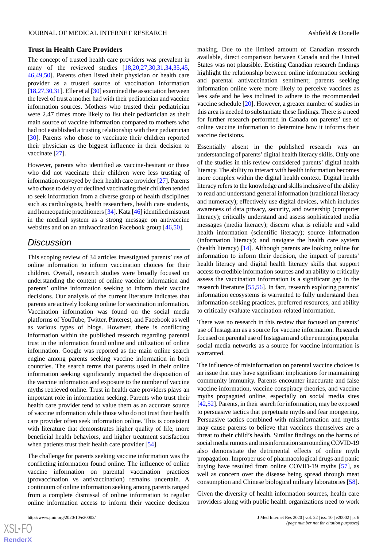#### **Trust in Health Care Providers**

The concept of trusted health care providers was prevalent in many of the reviewed studies [[18,](#page-8-16)[20](#page-8-17),[27,](#page-9-4)[30](#page-9-5),[31,](#page-9-6)[34](#page-9-7),[35,](#page-9-8)[45](#page-9-22), [46](#page-9-19)[,49](#page-10-1),[50\]](#page-10-2). Parents often listed their physician or health care provider as a trusted source of vaccination information [[18,](#page-8-16)[27](#page-9-4)[,30](#page-9-5),[31\]](#page-9-6). Eller et al [\[30](#page-9-5)] examined the association between the level of trust a mother had with their pediatrician and vaccine information sources. Mothers who trusted their pediatrician were 2.47 times more likely to list their pediatrician as their main source of vaccine information compared to mothers who had not established a trusting relationship with their pediatrician [[30\]](#page-9-5). Parents who chose to vaccinate their children reported their physician as the biggest influence in their decision to vaccinate [[27\]](#page-9-4).

However, parents who identified as vaccine-hesitant or those who did not vaccinate their children were less trusting of information conveyed by their health care provider [\[27](#page-9-4)]. Parents who chose to delay or declined vaccinating their children tended to seek information from a diverse group of health disciplines such as cardiologists, health researchers, health care students, and homeopathic practitioners [\[34\]](#page-9-7). Kata [\[46\]](#page-9-19) identified mistrust in the medical system as a strong message on antivaccine websites and on an antivaccination Facebook group [\[46](#page-9-19),[50\]](#page-10-2).

## *Discussion*

This scoping review of 34 articles investigated parents' use of online information to inform vaccination choices for their children. Overall, research studies were broadly focused on understanding the content of online vaccine information and parents' online information seeking to inform their vaccine decisions. Our analysis of the current literature indicates that parents are actively looking online for vaccination information. Vaccination information was found on the social media platforms of YouTube, Twitter, Pinterest, and Facebook as well as various types of blogs. However, there is conflicting information within the published research regarding parental trust in the information found online and utilization of online information. Google was reported as the main online search engine among parents seeking vaccine information in both countries. The search terms that parents used in their online information seeking significantly impacted the disposition of the vaccine information and exposure to the number of vaccine myths retrieved online. Trust in health care providers plays an important role in information seeking. Parents who trust their health care provider tend to value them as an accurate source of vaccine information while those who do not trust their health care provider often seek information online. This is consistent with literature that demonstrates higher quality of life, more beneficial health behaviors, and higher treatment satisfaction when patients trust their health care provider [\[54](#page-10-4)].

The challenge for parents seeking vaccine information was the conflicting information found online. The influence of online vaccine information on parental vaccination practices (provaccination vs antivaccination) remains uncertain. A continuum of online information seeking among parents ranged from a complete dismissal of online information to regular online information access to inform their vaccine decision

making. Due to the limited amount of Canadian research available, direct comparison between Canada and the United States was not plausible. Existing Canadian research findings highlight the relationship between online information seeking and parental antivaccination sentiment; parents seeking information online were more likely to perceive vaccines as less safe and be less inclined to adhere to the recommended vaccine schedule [[20\]](#page-8-17). However, a greater number of studies in this area is needed to substantiate these findings. There is a need for further research performed in Canada on parents' use of online vaccine information to determine how it informs their vaccine decisions.

Essentially absent in the published research was an understanding of parents'digital health literacy skills. Only one of the studies in this review considered parents' digital health literacy. The ability to interact with health information becomes more complex within the digital health context. Digital health literacy refers to the knowledge and skills inclusive of the ability to read and understand general information (traditional literacy and numeracy); effectively use digital devices, which includes awareness of data privacy, security, and ownership (computer literacy); critically understand and assess sophisticated media messages (media literacy); discern what is reliable and valid health information (scientific literacy); source information (information literacy); and navigate the health care system (health literacy) [[14\]](#page-8-12). Although parents are looking online for information to inform their decision, the impact of parents' health literacy and digital health literacy skills that support access to credible information sources and an ability to critically assess the vaccination information is a significant gap in the research literature [[55,](#page-10-5)[56](#page-10-6)]. In fact, research exploring parents' information ecosystems is warranted to fully understand their information-seeking practices, preferred resources, and ability to critically evaluate vaccination-related information.

There was no research in this review that focused on parents' use of Instagram as a source for vaccine information. Research focused on parental use of Instagram and other emerging popular social media networks as a source for vaccine information is warranted.

The influence of misinformation on parental vaccine choices is an issue that may have significant implications for maintaining community immunity. Parents encounter inaccurate and false vaccine information, vaccine conspiracy theories, and vaccine myths propagated online, especially on social media sites [[42,](#page-9-17)[52](#page-10-7)]. Parents, in their search for information, may be exposed to persuasive tactics that perpetuate myths and fear mongering. Persuasive tactics combined with misinformation and myths may cause parents to believe that vaccines themselves are a threat to their child's health. Similar findings on the harms of social media rumors and misinformation surrounding COVID-19 also demonstrate the detrimental effects of online myth propagation. Improper use of pharmacological drugs and panic buying have resulted from online COVID-19 myths [[57\]](#page-10-8), as well as concern over the disease being spread through meat consumption and Chinese biological military laboratories [[58\]](#page-10-9).

Given the diversity of health information sources, health care providers along with public health organizations need to work

```
XS-FO
RenderX
```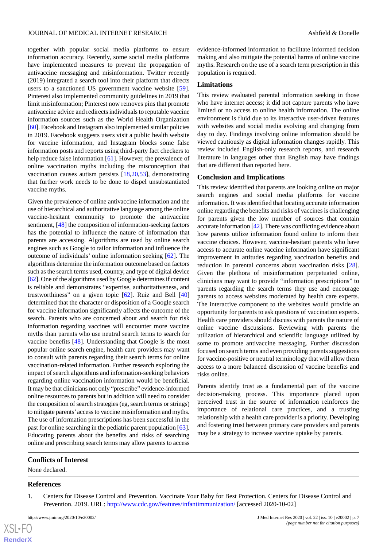together with popular social media platforms to ensure information accuracy. Recently, some social media platforms have implemented measures to prevent the propagation of antivaccine messaging and misinformation. Twitter recently (2019) integrated a search tool into their platform that directs users to a sanctioned US government vaccine website [[59\]](#page-10-10). Pinterest also implemented community guidelines in 2019 that limit misinformation; Pinterest now removes pins that promote antivaccine advice and redirects individuals to reputable vaccine information sources such as the World Health Organization [[60\]](#page-10-11). Facebook and Instagram also implemented similar policies in 2019. Facebook suggests users visit a public health website for vaccine information, and Instagram blocks some false information posts and reports using third-party fact checkers to help reduce false information [\[61](#page-10-12)]. However, the prevalence of online vaccination myths including the misconception that vaccination causes autism persists [[18](#page-8-16)[,20](#page-8-17),[53\]](#page-10-3), demonstrating that further work needs to be done to dispel unsubstantiated vaccine myths.

Given the prevalence of online antivaccine information and the use of hierarchical and authoritative language among the online vaccine-hesitant community to promote the antivaccine sentiment, [\[48](#page-10-0)] the composition of information-seeking factors has the potential to influence the nature of information that parents are accessing. Algorithms are used by online search engines such as Google to tailor information and influence the outcome of individuals' online information seeking [\[62](#page-10-13)]. The algorithms determine the information outcome based on factors such as the search terms used, country, and type of digital device [[62\]](#page-10-13). One of the algorithms used by Google determines if content is reliable and demonstrates "expertise, authoritativeness, and trustworthiness" on a given topic [[62\]](#page-10-13). Ruiz and Bell [\[40](#page-9-13)] determined that the character or disposition of a Google search for vaccine information significantly affects the outcome of the search. Parents who are concerned about and search for risk information regarding vaccines will encounter more vaccine myths than parents who use neutral search terms to search for vaccine benefits [\[48](#page-10-0)]. Understanding that Google is the most popular online search engine, health care providers may want to consult with parents regarding their search terms for online vaccination-related information. Further research exploring the impact of search algorithms and information-seeking behaviors regarding online vaccination information would be beneficial. It may be that clinicians not only "prescribe" evidence-informed online resources to parents but in addition will need to consider the composition of search strategies (eg, search terms or strings) to mitigate parents'access to vaccine misinformation and myths. The use of information prescriptions has been successful in the past for online searching in the pediatric parent population [[63\]](#page-10-14). Educating parents about the benefits and risks of searching online and prescribing search terms may allow parents to access

evidence-informed information to facilitate informed decision making and also mitigate the potential harms of online vaccine myths. Research on the use of a search term prescription in this population is required.

#### **Limitations**

This review evaluated parental information seeking in those who have internet access; it did not capture parents who have limited or no access to online health information. The online environment is fluid due to its interactive user-driven features with websites and social media evolving and changing from day to day. Findings involving online information should be viewed cautiously as digital information changes rapidly. This review included English-only research reports, and research literature in languages other than English may have findings that are different than reported here.

#### **Conclusion and Implications**

This review identified that parents are looking online on major search engines and social media platforms for vaccine information. It was identified that locating accurate information online regarding the benefits and risks of vaccines is challenging for parents given the low number of sources that contain accurate information [\[42\]](#page-9-17). There was conflicting evidence about how parents utilize information found online to inform their vaccine choices. However, vaccine-hesitant parents who have access to accurate online vaccine information have significant improvement in attitudes regarding vaccination benefits and reduction in parental concerns about vaccination risks [[28\]](#page-9-11). Given the plethora of misinformation perpetuated online, clinicians may want to provide "information prescriptions" to parents regarding the search terms they use and encourage parents to access websites moderated by health care experts. The interactive component to the websites would provide an opportunity for parents to ask questions of vaccination experts. Health care providers should discuss with parents the nature of online vaccine discussions. Reviewing with parents the utilization of hierarchical and scientific language utilized by some to promote antivaccine messaging. Further discussion focused on search terms and even providing parents suggestions for vaccine-positive or neutral terminology that will allow them access to a more balanced discussion of vaccine benefits and risks online.

Parents identify trust as a fundamental part of the vaccine decision-making process. This importance placed upon perceived trust in the source of information reinforces the importance of relational care practices, and a trusting relationship with a health care provider is a priority. Developing and fostering trust between primary care providers and parents may be a strategy to increase vaccine uptake by parents.

#### <span id="page-7-0"></span>**Conflicts of Interest**

None declared.

#### **References**

[XSL](http://www.w3.org/Style/XSL)•FO **[RenderX](http://www.renderx.com/)**

1. Centers for Disease Control and Prevention. Vaccinate Your Baby for Best Protection. Centers for Disease Control and Prevention. 2019. URL: <http://www.cdc.gov/features/infantimmunization/> [accessed 2020-10-02]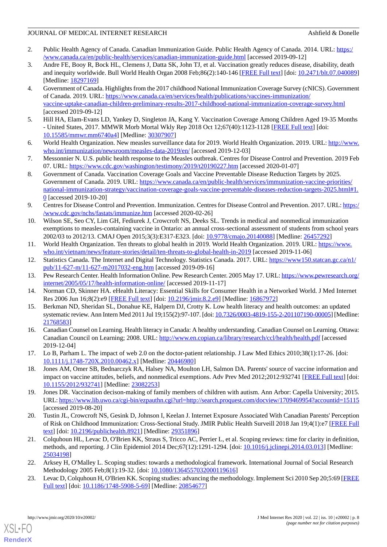- <span id="page-8-0"></span>2. Public Health Agency of Canada. Canadian Immunization Guide. Public Health Agency of Canada. 2014. URL: [https:/](https://www.canada.ca/en/public-health/services/canadian-immunization-guide.html) [/www.canada.ca/en/public-health/services/canadian-immunization-guide.html](https://www.canada.ca/en/public-health/services/canadian-immunization-guide.html) [accessed 2019-09-12]
- <span id="page-8-1"></span>3. Andre FE, Booy R, Bock HL, Clemens J, Datta SK, John TJ, et al. Vaccination greatly reduces disease, disability, death and inequity worldwide. Bull World Health Organ 2008 Feb;86(2):140-146 [[FREE Full text\]](http://europepmc.org/abstract/MED/18297169) [doi: [10.2471/blt.07.040089](http://dx.doi.org/10.2471/blt.07.040089)] [Medline: [18297169](http://www.ncbi.nlm.nih.gov/entrez/query.fcgi?cmd=Retrieve&db=PubMed&list_uids=18297169&dopt=Abstract)]
- <span id="page-8-2"></span>4. Government of Canada. Highlights from the 2017 childhood National Immunization Coverage Survey (cNICS). Government of Canada. 2019. URL: [https://www.canada.ca/en/services/health/publications/vaccines-immunization/](https://www.canada.ca/en/services/health/publications/vaccines-immunization/vaccine-uptake-canadian-children-preliminary-results-2017-childhood-national-immunization-coverage-survey.html) [vaccine-uptake-canadian-children-preliminary-results-2017-childhood-national-immunization-coverage-survey.html](https://www.canada.ca/en/services/health/publications/vaccines-immunization/vaccine-uptake-canadian-children-preliminary-results-2017-childhood-national-immunization-coverage-survey.html) [accessed 2019-09-12]
- <span id="page-8-4"></span><span id="page-8-3"></span>5. Hill HA, Elam-Evans LD, Yankey D, Singleton JA, Kang Y. Vaccination Coverage Among Children Aged 19-35 Months - United States, 2017. MMWR Morb Mortal Wkly Rep 2018 Oct 12;67(40):1123-1128 [[FREE Full text](https://doi.org/10.15585/mmwr.mm6740a4)] [doi: [10.15585/mmwr.mm6740a4\]](http://dx.doi.org/10.15585/mmwr.mm6740a4) [Medline: [30307907\]](http://www.ncbi.nlm.nih.gov/entrez/query.fcgi?cmd=Retrieve&db=PubMed&list_uids=30307907&dopt=Abstract)
- <span id="page-8-5"></span>6. World Health Organization. New measles surveillance data for 2019. World Health Organization. 2019. URL: [http://www.](http://www.who.int/immunization/newsroom/measles-data-2019/en/) [who.int/immunization/newsroom/measles-data-2019/en/](http://www.who.int/immunization/newsroom/measles-data-2019/en/) [accessed 2019-12-03]
- <span id="page-8-6"></span>7. Messonnier N. U.S. public health response to the Measles outbreak. Centres for Disease Control and Prevention. 2019 Feb 07. URL: <https://www.cdc.gov/washington/testimony/2019/t20190227.htm> [accessed 2020-01-07]
- <span id="page-8-7"></span>8. Government of Canada. Vaccination Coverage Goals and Vaccine Preventable Disease Reduction Targets by 2025. Government of Canada. 2019. URL: [https://www.canada.ca/en/public-health/services/immunization-vaccine-priorities/](https://www.canada.ca/en/public-health/services/immunization-vaccine-priorities/national-immunization-strategy/vaccination-coverage-goals-vaccine-preventable-diseases-reduction-targets-2025.html#1.0) [national-immunization-strategy/vaccination-coverage-goals-vaccine-preventable-diseases-reduction-targets-2025.html#1.](https://www.canada.ca/en/public-health/services/immunization-vaccine-priorities/national-immunization-strategy/vaccination-coverage-goals-vaccine-preventable-diseases-reduction-targets-2025.html#1.0) [0](https://www.canada.ca/en/public-health/services/immunization-vaccine-priorities/national-immunization-strategy/vaccination-coverage-goals-vaccine-preventable-diseases-reduction-targets-2025.html#1.0) [accessed 2019-10-20]
- <span id="page-8-8"></span>9. Centres for Disease Control and Prevention. Immunization. Centres for Disease Control and Prevention. 2017. URL: [https:/](https://www.cdc.gov/nchs/fastats/immunize.htm) [/www.cdc.gov/nchs/fastats/immunize.htm](https://www.cdc.gov/nchs/fastats/immunize.htm) [accessed 2020-02-26]
- <span id="page-8-9"></span>10. Wilson SE, Seo CY, Lim GH, Fediurek J, Crowcroft NS, Deeks SL. Trends in medical and nonmedical immunization exemptions to measles-containing vaccine in Ontario: an annual cross-sectional assessment of students from school years 2002/03 to 2012/13. CMAJ Open 2015;3(3):E317-E323. [doi: [10.9778/cmajo.20140088\]](http://dx.doi.org/10.9778/cmajo.20140088) [Medline: [26457292](http://www.ncbi.nlm.nih.gov/entrez/query.fcgi?cmd=Retrieve&db=PubMed&list_uids=26457292&dopt=Abstract)]
- <span id="page-8-11"></span><span id="page-8-10"></span>11. World Health Organization. Ten threats to global health in 2019. World Health Organization. 2019. URL: [https://www.](https://www.who.int/vietnam/news/feature-stories/detail/ten-threats-to-global-health-in-2019) [who.int/vietnam/news/feature-stories/detail/ten-threats-to-global-health-in-2019](https://www.who.int/vietnam/news/feature-stories/detail/ten-threats-to-global-health-in-2019) [accessed 2019-11-06]
- <span id="page-8-12"></span>12. Statistics Canada. The Internet and Digital Technology. Statistics Canada. 2017. URL: [https://www150.statcan.gc.ca/n1/](https://www150.statcan.gc.ca/n1/pub/11-627-m/11-627-m2017032-eng.htm) [pub/11-627-m/11-627-m2017032-eng.htm](https://www150.statcan.gc.ca/n1/pub/11-627-m/11-627-m2017032-eng.htm) [accessed 2019-09-16]
- <span id="page-8-13"></span>13. Pew Research Center. Health Information Online. Pew Research Center. 2005 May 17. URL: [https://www.pewresearch.org/](https://www.pewresearch.org/internet/2005/05/17/health-information-online/) [internet/2005/05/17/health-information-online/](https://www.pewresearch.org/internet/2005/05/17/health-information-online/) [accessed 2019-11-17]
- <span id="page-8-14"></span>14. Norman CD, Skinner HA. eHealth Literacy: Essential Skills for Consumer Health in a Networked World. J Med Internet Res 2006 Jun 16;8(2):e9 [\[FREE Full text\]](https://www.jmir.org/2006/2/e9/) [doi: [10.2196/jmir.8.2.e9](http://dx.doi.org/10.2196/jmir.8.2.e9)] [Medline: [16867972](http://www.ncbi.nlm.nih.gov/entrez/query.fcgi?cmd=Retrieve&db=PubMed&list_uids=16867972&dopt=Abstract)]
- 15. Berkman ND, Sheridan SL, Donahue KE, Halpern DJ, Crotty K. Low health literacy and health outcomes: an updated systematic review. Ann Intern Med 2011 Jul 19;155(2):97-107. [doi: [10.7326/0003-4819-155-2-201107190-00005](http://dx.doi.org/10.7326/0003-4819-155-2-201107190-00005)] [Medline: [21768583](http://www.ncbi.nlm.nih.gov/entrez/query.fcgi?cmd=Retrieve&db=PubMed&list_uids=21768583&dopt=Abstract)]
- <span id="page-8-16"></span><span id="page-8-15"></span>16. Canadian Counsel on Learning. Health literacy in Canada: A healthy understanding. Canadian Counsel on Learning. Ottawa: Canadian Council on Learning; 2008. URL:<http://www.en.copian.ca/library/research/ccl/health/health.pdf> [accessed 2019-12-04]
- <span id="page-8-21"></span>17. Lo B, Parham L. The impact of web 2.0 on the doctor-patient relationship. J Law Med Ethics 2010;38(1):17-26. [doi: [10.1111/j.1748-720X.2010.00462.x](http://dx.doi.org/10.1111/j.1748-720X.2010.00462.x)] [Medline: [20446980\]](http://www.ncbi.nlm.nih.gov/entrez/query.fcgi?cmd=Retrieve&db=PubMed&list_uids=20446980&dopt=Abstract)
- <span id="page-8-17"></span>18. Jones AM, Omer SB, Bednarczyk RA, Halsey NA, Moulton LH, Salmon DA. Parents' source of vaccine information and impact on vaccine attitudes, beliefs, and nonmedical exemptions. Adv Prev Med 2012;2012:932741 [\[FREE Full text](https://doi.org/10.1155/2012/932741)] [doi: [10.1155/2012/932741\]](http://dx.doi.org/10.1155/2012/932741) [Medline: [23082253](http://www.ncbi.nlm.nih.gov/entrez/query.fcgi?cmd=Retrieve&db=PubMed&list_uids=23082253&dopt=Abstract)]
- <span id="page-8-18"></span>19. Jones DR. Vaccination decison-making of family members of children with autism. Ann Arbor: Capella University; 2015. URL:<https://www.lib.uwo.ca/cgi-bin/ezpauthn.cgi?url=http://search.proquest.com/docview/1709469954?accountid=15115> [accessed 2019-08-20]
- <span id="page-8-19"></span>20. Tustin JL, Crowcroft NS, Gesink D, Johnson I, Keelan J. Internet Exposure Associated With Canadian Parents' Perception of Risk on Childhood Immunization: Cross-Sectional Study. JMIR Public Health Surveill 2018 Jan 19;4(1):e7 [[FREE Full](https://publichealth.jmir.org/2018/1/e7/) [text](https://publichealth.jmir.org/2018/1/e7/)] [doi: [10.2196/publichealth.8921\]](http://dx.doi.org/10.2196/publichealth.8921) [Medline: [29351896\]](http://www.ncbi.nlm.nih.gov/entrez/query.fcgi?cmd=Retrieve&db=PubMed&list_uids=29351896&dopt=Abstract)
- <span id="page-8-20"></span>21. Colquhoun HL, Levac D, O'Brien KK, Straus S, Tricco AC, Perrier L, et al. Scoping reviews: time for clarity in definition, methods, and reporting. J Clin Epidemiol 2014 Dec;67(12):1291-1294. [doi: [10.1016/j.jclinepi.2014.03.013\]](http://dx.doi.org/10.1016/j.jclinepi.2014.03.013) [Medline: [25034198](http://www.ncbi.nlm.nih.gov/entrez/query.fcgi?cmd=Retrieve&db=PubMed&list_uids=25034198&dopt=Abstract)]
- 22. Arksey H, O'Malley L. Scoping studies: towards a methodological framework. International Journal of Social Research Methodology 2005 Feb;8(1):19-32. [doi: [10.1080/1364557032000119616\]](http://dx.doi.org/10.1080/1364557032000119616)
- 23. Levac D, Colquhoun H, O'Brien KK. Scoping studies: advancing the methodology. Implement Sci 2010 Sep 20;5:69 [\[FREE](https://implementationscience.biomedcentral.com/articles/10.1186/1748-5908-5-69) [Full text\]](https://implementationscience.biomedcentral.com/articles/10.1186/1748-5908-5-69) [doi: [10.1186/1748-5908-5-69\]](http://dx.doi.org/10.1186/1748-5908-5-69) [Medline: [20854677](http://www.ncbi.nlm.nih.gov/entrez/query.fcgi?cmd=Retrieve&db=PubMed&list_uids=20854677&dopt=Abstract)]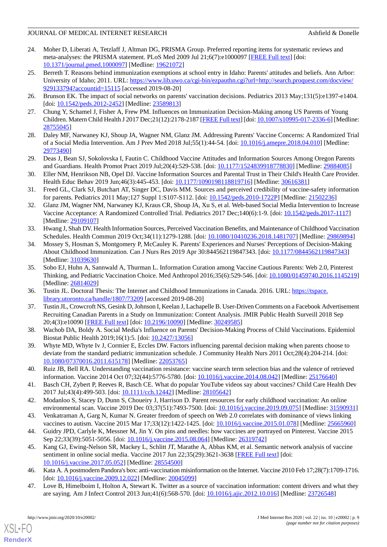- <span id="page-9-0"></span>24. Moher D, Liberati A, Tetzlaff J, Altman DG, PRISMA Group. Preferred reporting items for systematic reviews and meta-analyses: the PRISMA statement. PLoS Med 2009 Jul 21;6(7):e1000097 [[FREE Full text](https://dx.plos.org/10.1371/journal.pmed.1000097)] [doi: [10.1371/journal.pmed.1000097](http://dx.doi.org/10.1371/journal.pmed.1000097)] [Medline: [19621072](http://www.ncbi.nlm.nih.gov/entrez/query.fcgi?cmd=Retrieve&db=PubMed&list_uids=19621072&dopt=Abstract)]
- <span id="page-9-1"></span>25. Berreth T. Reasons behind immunization exemptions at school entry in Idaho: Parents' attitudes and beliefs. Ann Arbor: University of Idaho; 2011. URL: [https://www.lib.uwo.ca/cgi-bin/ezpauthn.cgi?url=http://search.proquest.com/docview/](https://www.lib.uwo.ca/cgi-bin/ezpauthn.cgi?url=http://search.proquest.com/docview/929133794?accountid=15115) [929133794?accountid=15115](https://www.lib.uwo.ca/cgi-bin/ezpauthn.cgi?url=http://search.proquest.com/docview/929133794?accountid=15115) [accessed 2019-08-20]
- <span id="page-9-4"></span><span id="page-9-3"></span>26. Brunson EK. The impact of social networks on parents' vaccination decisions. Pediatrics 2013 May;131(5):e1397-e1404. [doi: [10.1542/peds.2012-2452](http://dx.doi.org/10.1542/peds.2012-2452)] [Medline: [23589813](http://www.ncbi.nlm.nih.gov/entrez/query.fcgi?cmd=Retrieve&db=PubMed&list_uids=23589813&dopt=Abstract)]
- <span id="page-9-11"></span>27. Chung Y, Schamel J, Fisher A, Frew PM. Influences on Immunization Decision-Making among US Parents of Young Children. Matern Child Health J 2017 Dec;21(12):2178-2187 [\[FREE Full text](http://europepmc.org/abstract/MED/28755045)] [doi: [10.1007/s10995-017-2336-6\]](http://dx.doi.org/10.1007/s10995-017-2336-6) [Medline: [28755045](http://www.ncbi.nlm.nih.gov/entrez/query.fcgi?cmd=Retrieve&db=PubMed&list_uids=28755045&dopt=Abstract)]
- <span id="page-9-10"></span>28. Daley MF, Narwaney KJ, Shoup JA, Wagner NM, Glanz JM. Addressing Parents' Vaccine Concerns: A Randomized Trial of a Social Media Intervention. Am J Prev Med 2018 Jul;55(1):44-54. [doi: [10.1016/j.amepre.2018.04.010](http://dx.doi.org/10.1016/j.amepre.2018.04.010)] [Medline: [29773490](http://www.ncbi.nlm.nih.gov/entrez/query.fcgi?cmd=Retrieve&db=PubMed&list_uids=29773490&dopt=Abstract)]
- <span id="page-9-5"></span>29. Deas J, Bean SJ, Sokolovska I, Fautin C. Childhood Vaccine Attitudes and Information Sources Among Oregon Parents and Guardians. Health Promot Pract 2019 Jul;20(4):529-538. [doi: [10.1177/1524839918778830](http://dx.doi.org/10.1177/1524839918778830)] [Medline: [29884085\]](http://www.ncbi.nlm.nih.gov/entrez/query.fcgi?cmd=Retrieve&db=PubMed&list_uids=29884085&dopt=Abstract)
- <span id="page-9-6"></span>30. Eller NM, Henrikson NB, Opel DJ. Vaccine Information Sources and Parental Trust in Their Child's Health Care Provider. Health Educ Behav 2019 Jun;46(3):445-453. [doi: [10.1177/1090198118819716](http://dx.doi.org/10.1177/1090198118819716)] [Medline: [30616381\]](http://www.ncbi.nlm.nih.gov/entrez/query.fcgi?cmd=Retrieve&db=PubMed&list_uids=30616381&dopt=Abstract)
- <span id="page-9-12"></span>31. Freed GL, Clark SJ, Butchart AT, Singer DC, Davis MM. Sources and perceived credibility of vaccine-safety information for parents. Pediatrics 2011 May;127 Suppl 1:S107-S112. [doi: [10.1542/peds.2010-1722P](http://dx.doi.org/10.1542/peds.2010-1722P)] [Medline: [21502236\]](http://www.ncbi.nlm.nih.gov/entrez/query.fcgi?cmd=Retrieve&db=PubMed&list_uids=21502236&dopt=Abstract)
- <span id="page-9-9"></span>32. Glanz JM, Wagner NM, Narwaney KJ, Kraus CR, Shoup JA, Xu S, et al. Web-based Social Media Intervention to Increase Vaccine Acceptance: A Randomized Controlled Trial. Pediatrics 2017 Dec;140(6):1-9. [doi: [10.1542/peds.2017-1117\]](http://dx.doi.org/10.1542/peds.2017-1117) [Medline: [29109107](http://www.ncbi.nlm.nih.gov/entrez/query.fcgi?cmd=Retrieve&db=PubMed&list_uids=29109107&dopt=Abstract)]
- <span id="page-9-7"></span>33. Hwang J, Shah DV. Health Information Sources, Perceived Vaccination Benefits, and Maintenance of Childhood Vaccination Schedules. Health Commun 2019 Oct;34(11):1279-1288. [doi: [10.1080/10410236.2018.1481707](http://dx.doi.org/10.1080/10410236.2018.1481707)] [Medline: [29869894\]](http://www.ncbi.nlm.nih.gov/entrez/query.fcgi?cmd=Retrieve&db=PubMed&list_uids=29869894&dopt=Abstract)
- <span id="page-9-8"></span>34. Mossey S, Hosman S, Montgomery P, McCauley K. Parents' Experiences and Nurses' Perceptions of Decision-Making About Childhood Immunization. Can J Nurs Res 2019 Apr 30:844562119847343. [doi: [10.1177/0844562119847343](http://dx.doi.org/10.1177/0844562119847343)] [Medline: [31039630](http://www.ncbi.nlm.nih.gov/entrez/query.fcgi?cmd=Retrieve&db=PubMed&list_uids=31039630&dopt=Abstract)]
- <span id="page-9-20"></span>35. Sobo EJ, Huhn A, Sannwald A, Thurman L. Information Curation among Vaccine Cautious Parents: Web 2.0, Pinterest Thinking, and Pediatric Vaccination Choice. Med Anthropol 2016;35(6):529-546. [doi: [10.1080/01459740.2016.1145219](http://dx.doi.org/10.1080/01459740.2016.1145219)] [Medline: [26814029](http://www.ncbi.nlm.nih.gov/entrez/query.fcgi?cmd=Retrieve&db=PubMed&list_uids=26814029&dopt=Abstract)]
- <span id="page-9-14"></span>36. Tustin JL. Doctoral Thesis: The Internet and Childhood Immunizations in Canada. 2016. URL: [https://tspace.](https://tspace.library.utoronto.ca/handle/1807/73209) [library.utoronto.ca/handle/1807/73209](https://tspace.library.utoronto.ca/handle/1807/73209) [accessed 2019-08-20]
- <span id="page-9-2"></span>37. Tustin JL, Crowcroft NS, Gesink D, Johnson I, Keelan J, Lachapelle B. User-Driven Comments on a Facebook Advertisement Recruiting Canadian Parents in a Study on Immunization: Content Analysis. JMIR Public Health Surveill 2018 Sep 20;4(3):e10090 [\[FREE Full text](https://publichealth.jmir.org/2018/3/e10090/)] [doi: [10.2196/10090\]](http://dx.doi.org/10.2196/10090) [Medline: [30249585\]](http://www.ncbi.nlm.nih.gov/entrez/query.fcgi?cmd=Retrieve&db=PubMed&list_uids=30249585&dopt=Abstract)
- <span id="page-9-13"></span>38. Wachob DA, Boldy A. Social Media's Influence on Parents' Decision-Making Process of Child Vaccinations. Epidemiol Biostat Public Health 2019;16(1):5. [doi: [10.2427/13056\]](http://dx.doi.org/10.2427/13056)
- <span id="page-9-15"></span>39. Whyte MD, Whyte Iv J, Cormier E, Eccles DW. Factors influencing parental decision making when parents choose to deviate from the standard pediatric immunization schedule. J Community Health Nurs 2011 Oct;28(4):204-214. [doi: [10.1080/07370016.2011.615178\]](http://dx.doi.org/10.1080/07370016.2011.615178) [Medline: [22053765\]](http://www.ncbi.nlm.nih.gov/entrez/query.fcgi?cmd=Retrieve&db=PubMed&list_uids=22053765&dopt=Abstract)
- <span id="page-9-17"></span><span id="page-9-16"></span>40. Ruiz JB, Bell RA. Understanding vaccination resistance: vaccine search term selection bias and the valence of retrieved information. Vaccine 2014 Oct 07;32(44):5776-5780. [doi: [10.1016/j.vaccine.2014.08.042\]](http://dx.doi.org/10.1016/j.vaccine.2014.08.042) [Medline: [25176640](http://www.ncbi.nlm.nih.gov/entrez/query.fcgi?cmd=Retrieve&db=PubMed&list_uids=25176640&dopt=Abstract)]
- <span id="page-9-21"></span>41. Basch CH, Zybert P, Reeves R, Basch CE. What do popular YouTube videos say about vaccines? Child Care Health Dev 2017 Jul;43(4):499-503. [doi: [10.1111/cch.12442](http://dx.doi.org/10.1111/cch.12442)] [Medline: [28105642](http://www.ncbi.nlm.nih.gov/entrez/query.fcgi?cmd=Retrieve&db=PubMed&list_uids=28105642&dopt=Abstract)]
- <span id="page-9-22"></span>42. Modanloo S, Stacey D, Dunn S, Choueiry J, Harrison D. Parent resources for early childhood vaccination: An online environmental scan. Vaccine 2019 Dec 03;37(51):7493-7500. [doi: [10.1016/j.vaccine.2019.09.075\]](http://dx.doi.org/10.1016/j.vaccine.2019.09.075) [Medline: [31590931\]](http://www.ncbi.nlm.nih.gov/entrez/query.fcgi?cmd=Retrieve&db=PubMed&list_uids=31590931&dopt=Abstract)
- 43. Venkatraman A, Garg N, Kumar N. Greater freedom of speech on Web 2.0 correlates with dominance of views linking vaccines to autism. Vaccine 2015 Mar 17;33(12):1422-1425. [doi: [10.1016/j.vaccine.2015.01.078](http://dx.doi.org/10.1016/j.vaccine.2015.01.078)] [Medline: [25665960](http://www.ncbi.nlm.nih.gov/entrez/query.fcgi?cmd=Retrieve&db=PubMed&list_uids=25665960&dopt=Abstract)]
- <span id="page-9-19"></span><span id="page-9-18"></span>44. Guidry JPD, Carlyle K, Messner M, Jin Y. On pins and needles: how vaccines are portrayed on Pinterest. Vaccine 2015 Sep 22;33(39):5051-5056. [doi: [10.1016/j.vaccine.2015.08.064](http://dx.doi.org/10.1016/j.vaccine.2015.08.064)] [Medline: [26319742](http://www.ncbi.nlm.nih.gov/entrez/query.fcgi?cmd=Retrieve&db=PubMed&list_uids=26319742&dopt=Abstract)]
- 45. Kang GJ, Ewing-Nelson SR, Mackey L, Schlitt JT, Marathe A, Abbas KM, et al. Semantic network analysis of vaccine sentiment in online social media. Vaccine 2017 Jun 22;35(29):3621-3638 [\[FREE Full text\]](http://europepmc.org/abstract/MED/28554500) [doi: [10.1016/j.vaccine.2017.05.052\]](http://dx.doi.org/10.1016/j.vaccine.2017.05.052) [Medline: [28554500\]](http://www.ncbi.nlm.nih.gov/entrez/query.fcgi?cmd=Retrieve&db=PubMed&list_uids=28554500&dopt=Abstract)
- 46. Kata A. A postmodern Pandora's box: anti-vaccination misinformation on the Internet. Vaccine 2010 Feb 17;28(7):1709-1716. [doi: [10.1016/j.vaccine.2009.12.022](http://dx.doi.org/10.1016/j.vaccine.2009.12.022)] [Medline: [20045099](http://www.ncbi.nlm.nih.gov/entrez/query.fcgi?cmd=Retrieve&db=PubMed&list_uids=20045099&dopt=Abstract)]
- 47. Love B, Himelboim I, Holton A, Stewart K. Twitter as a source of vaccination information: content drivers and what they are saying. Am J Infect Control 2013 Jun;41(6):568-570. [doi: [10.1016/j.ajic.2012.10.016\]](http://dx.doi.org/10.1016/j.ajic.2012.10.016) [Medline: [23726548\]](http://www.ncbi.nlm.nih.gov/entrez/query.fcgi?cmd=Retrieve&db=PubMed&list_uids=23726548&dopt=Abstract)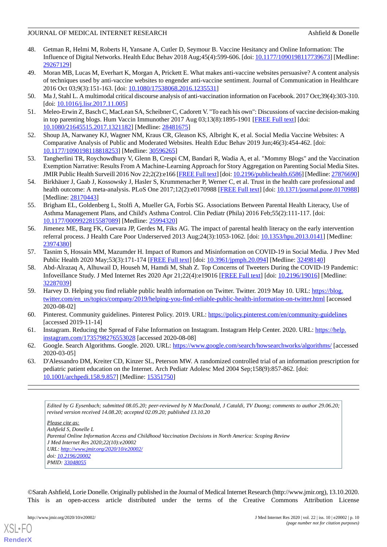- <span id="page-10-0"></span>48. Getman R, Helmi M, Roberts H, Yansane A, Cutler D, Seymour B. Vaccine Hesitancy and Online Information: The Influence of Digital Networks. Health Educ Behav 2018 Aug;45(4):599-606. [doi: [10.1177/1090198117739673](http://dx.doi.org/10.1177/1090198117739673)] [Medline: [29267129](http://www.ncbi.nlm.nih.gov/entrez/query.fcgi?cmd=Retrieve&db=PubMed&list_uids=29267129&dopt=Abstract)]
- <span id="page-10-1"></span>49. Moran MB, Lucas M, Everhart K, Morgan A, Prickett E. What makes anti-vaccine websites persuasive? A content analysis of techniques used by anti-vaccine websites to engender anti-vaccine sentiment. Journal of Communication in Healthcare 2016 Oct 03;9(3):151-163. [doi: [10.1080/17538068.2016.1235531](http://dx.doi.org/10.1080/17538068.2016.1235531)]
- <span id="page-10-2"></span>50. Ma J, Stahl L. A multimodal critical discourse analysis of anti-vaccination information on Facebook. 2017 Oct;39(4):303-310. [doi: [10.1016/j.lisr.2017.11.005](http://dx.doi.org/10.1016/j.lisr.2017.11.005)]
- <span id="page-10-7"></span>51. Meleo-Erwin Z, Basch C, MacLean SA, Scheibner C, Cadorett V. "To each his own": Discussions of vaccine decision-making in top parenting blogs. Hum Vaccin Immunother 2017 Aug 03;13(8):1895-1901 [[FREE Full text](http://europepmc.org/abstract/MED/28481675)] [doi: [10.1080/21645515.2017.1321182\]](http://dx.doi.org/10.1080/21645515.2017.1321182) [Medline: [28481675\]](http://www.ncbi.nlm.nih.gov/entrez/query.fcgi?cmd=Retrieve&db=PubMed&list_uids=28481675&dopt=Abstract)
- <span id="page-10-3"></span>52. Shoup JA, Narwaney KJ, Wagner NM, Kraus CR, Gleason KS, Albright K, et al. Social Media Vaccine Websites: A Comparative Analysis of Public and Moderated Websites. Health Educ Behav 2019 Jun;46(3):454-462. [doi: [10.1177/1090198118818253\]](http://dx.doi.org/10.1177/1090198118818253) [Medline: [30596265\]](http://www.ncbi.nlm.nih.gov/entrez/query.fcgi?cmd=Retrieve&db=PubMed&list_uids=30596265&dopt=Abstract)
- <span id="page-10-4"></span>53. Tangherlini TR, Roychowdhury V, Glenn B, Crespi CM, Bandari R, Wadia A, et al. "Mommy Blogs" and the Vaccination Exemption Narrative: Results From A Machine-Learning Approach for Story Aggregation on Parenting Social Media Sites. JMIR Public Health Surveill 2016 Nov 22;2(2):e166 [\[FREE Full text](https://publichealth.jmir.org/2016/2/e166/)] [doi: [10.2196/publichealth.6586](http://dx.doi.org/10.2196/publichealth.6586)] [Medline: [27876690](http://www.ncbi.nlm.nih.gov/entrez/query.fcgi?cmd=Retrieve&db=PubMed&list_uids=27876690&dopt=Abstract)]
- <span id="page-10-5"></span>54. Birkhäuer J, Gaab J, Kossowsky J, Hasler S, Krummenacher P, Werner C, et al. Trust in the health care professional and health outcome: A meta-analysis. PLoS One 2017;12(2):e0170988 [[FREE Full text](https://dx.plos.org/10.1371/journal.pone.0170988)] [doi: [10.1371/journal.pone.0170988](http://dx.doi.org/10.1371/journal.pone.0170988)] [Medline: [28170443](http://www.ncbi.nlm.nih.gov/entrez/query.fcgi?cmd=Retrieve&db=PubMed&list_uids=28170443&dopt=Abstract)]
- <span id="page-10-6"></span>55. Brigham EL, Goldenberg L, Stolfi A, Mueller GA, Forbis SG. Associations Between Parental Health Literacy, Use of Asthma Management Plans, and Child's Asthma Control. Clin Pediatr (Phila) 2016 Feb;55(2):111-117. [doi: [10.1177/0009922815587089\]](http://dx.doi.org/10.1177/0009922815587089) [Medline: [25994320\]](http://www.ncbi.nlm.nih.gov/entrez/query.fcgi?cmd=Retrieve&db=PubMed&list_uids=25994320&dopt=Abstract)
- <span id="page-10-8"></span>56. Jimenez ME, Barg FK, Guevara JP, Gerdes M, Fiks AG. The impact of parental health literacy on the early intervention referral process. J Health Care Poor Underserved 2013 Aug;24(3):1053-1062. [doi: [10.1353/hpu.2013.0141](http://dx.doi.org/10.1353/hpu.2013.0141)] [Medline: [23974380](http://www.ncbi.nlm.nih.gov/entrez/query.fcgi?cmd=Retrieve&db=PubMed&list_uids=23974380&dopt=Abstract)]
- <span id="page-10-9"></span>57. Tasnim S, Hossain MM, Mazumder H. Impact of Rumors and Misinformation on COVID-19 in Social Media. J Prev Med Public Health 2020 May;53(3):171-174 [[FREE Full text](https://dx.doi.org/10.3961/jpmph.20.094)] [doi: [10.3961/jpmph.20.094](http://dx.doi.org/10.3961/jpmph.20.094)] [Medline: [32498140](http://www.ncbi.nlm.nih.gov/entrez/query.fcgi?cmd=Retrieve&db=PubMed&list_uids=32498140&dopt=Abstract)]
- <span id="page-10-10"></span>58. Abd-Alrazaq A, Alhuwail D, Househ M, Hamdi M, Shah Z. Top Concerns of Tweeters During the COVID-19 Pandemic: Infoveillance Study. J Med Internet Res 2020 Apr 21;22(4):e19016 [\[FREE Full text\]](https://www.jmir.org/2020/4/e19016/) [doi: [10.2196/19016](http://dx.doi.org/10.2196/19016)] [Medline: [32287039](http://www.ncbi.nlm.nih.gov/entrez/query.fcgi?cmd=Retrieve&db=PubMed&list_uids=32287039&dopt=Abstract)]
- <span id="page-10-12"></span><span id="page-10-11"></span>59. Harvey D. Helping you find reliable public health information on Twitter. Twitter. 2019 May 10. URL: [https://blog.](https://blog.twitter.com/en_us/topics/company/2019/helping-you-find-reliable-public-health-information-on-twitter.html) [twitter.com/en\\_us/topics/company/2019/helping-you-find-reliable-public-health-information-on-twitter.html](https://blog.twitter.com/en_us/topics/company/2019/helping-you-find-reliable-public-health-information-on-twitter.html) [accessed 2020-08-02]
- <span id="page-10-13"></span>60. Pinterest. Community guidelines. Pinterest Policy. 2019. URL:<https://policy.pinterest.com/en/community-guidelines> [accessed 2019-11-14]
- <span id="page-10-14"></span>61. Instagram. Reducing the Spread of False Information on Instagram. Instagram Help Center. 2020. URL: [https://help.](https://help.instagram.com/1735798276553028) [instagram.com/1735798276553028](https://help.instagram.com/1735798276553028) [accessed 2020-08-08]
- 62. Google. Search Algorithms. Google. 2020. URL: <https://www.google.com/search/howsearchworks/algorithms/> [accessed 2020-03-05]
- 63. D'Alessandro DM, Kreiter CD, Kinzer SL, Peterson MW. A randomized controlled trial of an information prescription for pediatric patient education on the Internet. Arch Pediatr Adolesc Med 2004 Sep;158(9):857-862. [doi: [10.1001/archpedi.158.9.857\]](http://dx.doi.org/10.1001/archpedi.158.9.857) [Medline: [15351750](http://www.ncbi.nlm.nih.gov/entrez/query.fcgi?cmd=Retrieve&db=PubMed&list_uids=15351750&dopt=Abstract)]

*Edited by G Eysenbach; submitted 08.05.20; peer-reviewed by N MacDonald, J Cataldi, TV Duong; comments to author 29.06.20; revised version received 14.08.20; accepted 02.09.20; published 13.10.20*

*Please cite as: Ashfield S, Donelle L Parental Online Information Access and Childhood Vaccination Decisions in North America: Scoping Review J Med Internet Res 2020;22(10):e20002 URL: <http://www.jmir.org/2020/10/e20002/> doi: [10.2196/20002](http://dx.doi.org/10.2196/20002) PMID: [33048055](http://www.ncbi.nlm.nih.gov/entrez/query.fcgi?cmd=Retrieve&db=PubMed&list_uids=33048055&dopt=Abstract)*

©Sarah Ashfield, Lorie Donelle. Originally published in the Journal of Medical Internet Research (http://www.jmir.org), 13.10.2020. This is an open-access article distributed under the terms of the Creative Commons Attribution License